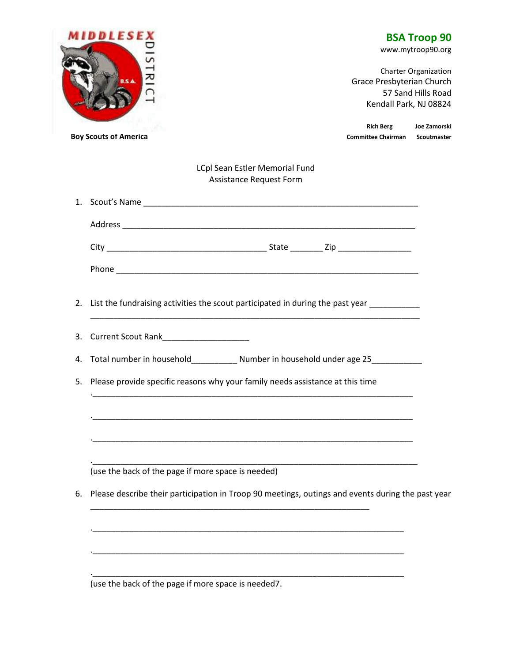| <b>MIDDLESEX</b> |                                                                                                                                           |  | <b>BSA Troop 90</b><br>www.mytroop90.org                                                                 |                                               |                             |  |
|------------------|-------------------------------------------------------------------------------------------------------------------------------------------|--|----------------------------------------------------------------------------------------------------------|-----------------------------------------------|-----------------------------|--|
| $\overline{z}$   |                                                                                                                                           |  | <b>Charter Organization</b><br>Grace Presbyterian Church<br>57 Sand Hills Road<br>Kendall Park, NJ 08824 |                                               |                             |  |
|                  | <b>Boy Scouts of America</b>                                                                                                              |  |                                                                                                          | <b>Rich Berg</b><br><b>Committee Chairman</b> | Joe Zamorski<br>Scoutmaster |  |
|                  | LCpl Sean Estler Memorial Fund<br>Assistance Request Form                                                                                 |  |                                                                                                          |                                               |                             |  |
|                  |                                                                                                                                           |  |                                                                                                          |                                               |                             |  |
|                  |                                                                                                                                           |  |                                                                                                          |                                               |                             |  |
|                  |                                                                                                                                           |  |                                                                                                          |                                               |                             |  |
|                  |                                                                                                                                           |  |                                                                                                          |                                               |                             |  |
| 2.<br>3.         | List the fundraising activities the scout participated in during the past year __________<br>Current Scout Rank <b>Current Scout Rank</b> |  |                                                                                                          |                                               |                             |  |
| 4.               | Total number in household______________ Number in household under age 25_________                                                         |  |                                                                                                          |                                               |                             |  |
| 5.               | Please provide specific reasons why your family needs assistance at this time                                                             |  |                                                                                                          |                                               |                             |  |
|                  | <u> 1989 - Johann John Stone, markin film yn y brenin y brenin y brenin y brenin y brenin y brenin y brenin y br</u>                      |  |                                                                                                          |                                               |                             |  |
|                  | (use the back of the page if more space is needed)                                                                                        |  |                                                                                                          |                                               |                             |  |
| 6.               | Please describe their participation in Troop 90 meetings, outings and events during the past year                                         |  |                                                                                                          |                                               |                             |  |
|                  |                                                                                                                                           |  |                                                                                                          |                                               |                             |  |
|                  |                                                                                                                                           |  |                                                                                                          |                                               |                             |  |
|                  | (use the back of the page if more space is needed7.                                                                                       |  |                                                                                                          |                                               |                             |  |